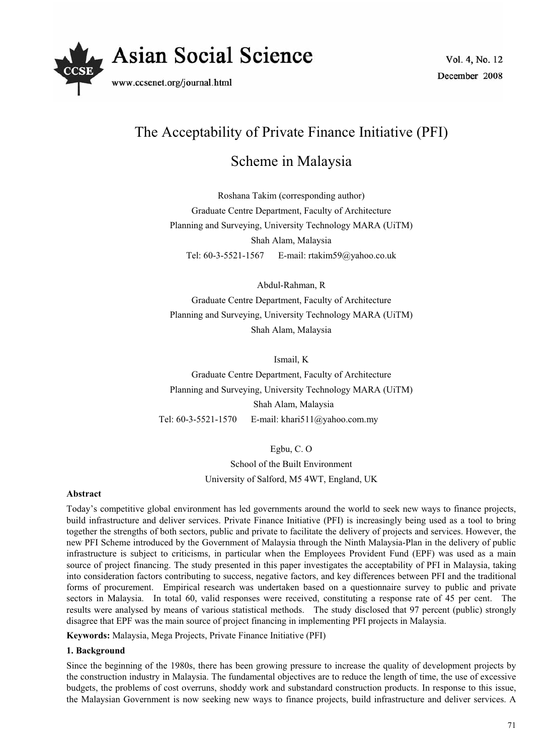

# The Acceptability of Private Finance Initiative (PFI)

# Scheme in Malaysia

Roshana Takim (corresponding author) Graduate Centre Department, Faculty of Architecture Planning and Surveying, University Technology MARA (UiTM) Shah Alam, Malaysia Tel: 60-3-5521-1567 E-mail: rtakim59@yahoo.co.uk

Abdul-Rahman, R Graduate Centre Department, Faculty of Architecture Planning and Surveying, University Technology MARA (UiTM) Shah Alam, Malaysia

Ismail, K Graduate Centre Department, Faculty of Architecture Planning and Surveying, University Technology MARA (UiTM) Shah Alam, Malaysia Tel: 60-3-5521-1570 E-mail: khari511@yahoo.com.my

Egbu, C. O

School of the Built Environment University of Salford, M5 4WT, England, UK

#### **Abstract**

Today's competitive global environment has led governments around the world to seek new ways to finance projects, build infrastructure and deliver services. Private Finance Initiative (PFI) is increasingly being used as a tool to bring together the strengths of both sectors, public and private to facilitate the delivery of projects and services. However, the new PFI Scheme introduced by the Government of Malaysia through the Ninth Malaysia-Plan in the delivery of public infrastructure is subject to criticisms, in particular when the Employees Provident Fund (EPF) was used as a main source of project financing. The study presented in this paper investigates the acceptability of PFI in Malaysia, taking into consideration factors contributing to success, negative factors, and key differences between PFI and the traditional forms of procurement. Empirical research was undertaken based on a questionnaire survey to public and private sectors in Malaysia. In total 60, valid responses were received, constituting a response rate of 45 per cent. The results were analysed by means of various statistical methods. The study disclosed that 97 percent (public) strongly disagree that EPF was the main source of project financing in implementing PFI projects in Malaysia.

**Keywords:** Malaysia, Mega Projects, Private Finance Initiative (PFI)

#### **1. Background**

Since the beginning of the 1980s, there has been growing pressure to increase the quality of development projects by the construction industry in Malaysia. The fundamental objectives are to reduce the length of time, the use of excessive budgets, the problems of cost overruns, shoddy work and substandard construction products. In response to this issue, the Malaysian Government is now seeking new ways to finance projects, build infrastructure and deliver services. A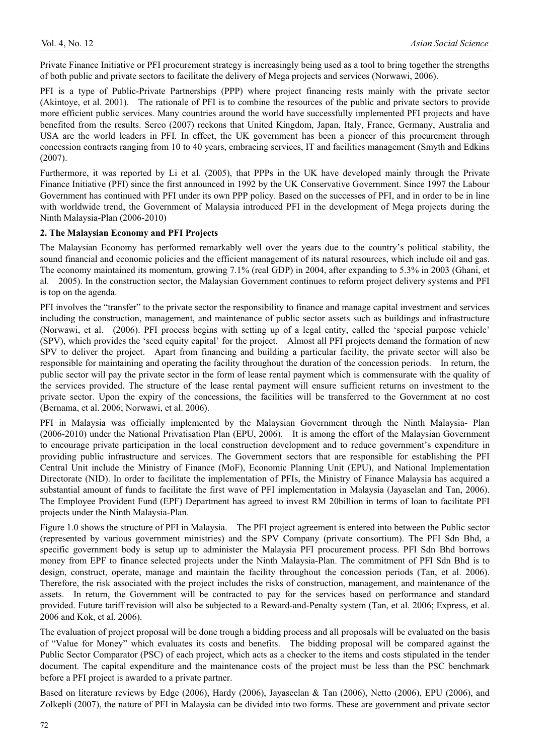Private Finance Initiative or PFI procurement strategy is increasingly being used as a tool to bring together the strengths of both public and private sectors to facilitate the delivery of Mega projects and services (Norwawi, 2006).

PFI is a type of Public-Private Partnerships (PPP) where project financing rests mainly with the private sector (Akintoye, et al. 2001). The rationale of PFI is to combine the resources of the public and private sectors to provide more efficient public services. Many countries around the world have successfully implemented PFI projects and have benefited from the results. Serco (2007) reckons that United Kingdom, Japan, Italy, France, Germany, Australia and USA are the world leaders in PFI. In effect, the UK government has been a pioneer of this procurement through concession contracts ranging from 10 to 40 years, embracing services, IT and facilities management (Smyth and Edkins (2007).

Furthermore, it was reported by Li et al. (2005), that PPPs in the UK have developed mainly through the Private Finance Initiative (PFI) since the first announced in 1992 by the UK Conservative Government. Since 1997 the Labour Government has continued with PFI under its own PPP policy. Based on the successes of PFI, and in order to be in line with worldwide trend, the Government of Malaysia introduced PFI in the development of Mega projects during the Ninth Malaysia-Plan (2006-2010)

#### **2. The Malaysian Economy and PFI Projects**

The Malaysian Economy has performed remarkably well over the years due to the country's political stability, the sound financial and economic policies and the efficient management of its natural resources, which include oil and gas. The economy maintained its momentum, growing 7.1% (real GDP) in 2004, after expanding to 5.3% in 2003 (Ghani, et al. 2005). In the construction sector, the Malaysian Government continues to reform project delivery systems and PFI is top on the agenda.

PFI involves the "transfer" to the private sector the responsibility to finance and manage capital investment and services including the construction, management, and maintenance of public sector assets such as buildings and infrastructure (Norwawi, et al. (2006). PFI process begins with setting up of a legal entity, called the 'special purpose vehicle' (SPV), which provides the 'seed equity capital' for the project. Almost all PFI projects demand the formation of new SPV to deliver the project. Apart from financing and building a particular facility, the private sector will also be responsible for maintaining and operating the facility throughout the duration of the concession periods. In return, the public sector will pay the private sector in the form of lease rental payment which is commensurate with the quality of the services provided. The structure of the lease rental payment will ensure sufficient returns on investment to the private sector. Upon the expiry of the concessions, the facilities will be transferred to the Government at no cost (Bernama, et al. 2006; Norwawi, et al. 2006).

PFI in Malaysia was officially implemented by the Malaysian Government through the Ninth Malaysia- Plan (2006-2010) under the National Privatisation Plan (EPU, 2006). It is among the effort of the Malaysian Government to encourage private participation in the local construction development and to reduce government's expenditure in providing public infrastructure and services. The Government sectors that are responsible for establishing the PFI Central Unit include the Ministry of Finance (MoF), Economic Planning Unit (EPU), and National Implementation Directorate (NID). In order to facilitate the implementation of PFIs, the Ministry of Finance Malaysia has acquired a substantial amount of funds to facilitate the first wave of PFI implementation in Malaysia (Jayaselan and Tan, 2006). The Employee Provident Fund (EPF) Department has agreed to invest RM 20billion in terms of loan to facilitate PFI projects under the Ninth Malaysia-Plan.

Figure 1.0 shows the structure of PFI in Malaysia. The PFI project agreement is entered into between the Public sector (represented by various government ministries) and the SPV Company (private consortium). The PFI Sdn Bhd, a specific government body is setup up to administer the Malaysia PFI procurement process. PFI Sdn Bhd borrows money from EPF to finance selected projects under the Ninth Malaysia-Plan. The commitment of PFI Sdn Bhd is to design, construct, operate, manage and maintain the facility throughout the concession periods (Tan, et al. 2006). Therefore, the risk associated with the project includes the risks of construction, management, and maintenance of the assets. In return, the Government will be contracted to pay for the services based on performance and standard provided. Future tariff revision will also be subjected to a Reward-and-Penalty system (Tan, et al. 2006; Express, et al. 2006 and Kok, et al. 2006).

The evaluation of project proposal will be done trough a bidding process and all proposals will be evaluated on the basis of "Value for Money" which evaluates its costs and benefits. The bidding proposal will be compared against the Public Sector Comparator (PSC) of each project, which acts as a checker to the items and costs stipulated in the tender document. The capital expenditure and the maintenance costs of the project must be less than the PSC benchmark before a PFI project is awarded to a private partner.

Based on literature reviews by Edge (2006), Hardy (2006), Jayaseelan & Tan (2006), Netto (2006), EPU (2006), and Zolkepli (2007), the nature of PFI in Malaysia can be divided into two forms. These are government and private sector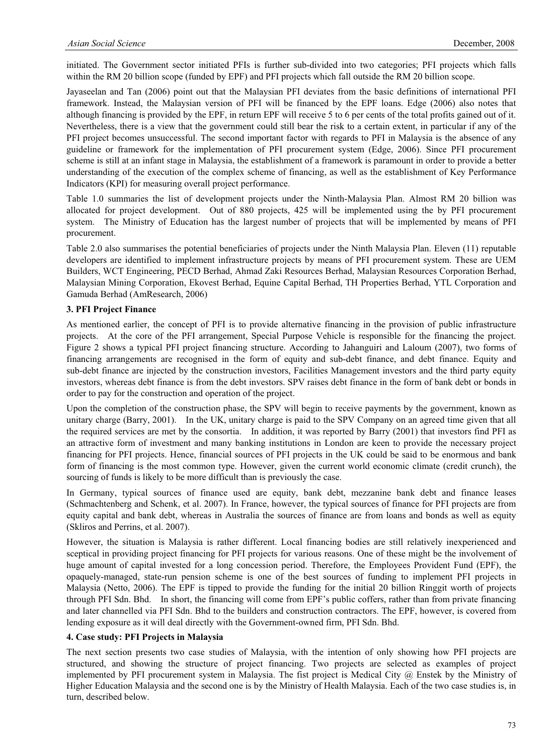initiated. The Government sector initiated PFIs is further sub-divided into two categories; PFI projects which falls within the RM 20 billion scope (funded by EPF) and PFI projects which fall outside the RM 20 billion scope.

Jayaseelan and Tan (2006) point out that the Malaysian PFI deviates from the basic definitions of international PFI framework. Instead, the Malaysian version of PFI will be financed by the EPF loans. Edge (2006) also notes that although financing is provided by the EPF, in return EPF will receive 5 to 6 per cents of the total profits gained out of it. Nevertheless, there is a view that the government could still bear the risk to a certain extent, in particular if any of the PFI project becomes unsuccessful. The second important factor with regards to PFI in Malaysia is the absence of any guideline or framework for the implementation of PFI procurement system (Edge, 2006). Since PFI procurement scheme is still at an infant stage in Malaysia, the establishment of a framework is paramount in order to provide a better understanding of the execution of the complex scheme of financing, as well as the establishment of Key Performance Indicators (KPI) for measuring overall project performance.

Table 1.0 summaries the list of development projects under the Ninth-Malaysia Plan. Almost RM 20 billion was allocated for project development. Out of 880 projects, 425 will be implemented using the by PFI procurement system. The Ministry of Education has the largest number of projects that will be implemented by means of PFI procurement.

Table 2.0 also summarises the potential beneficiaries of projects under the Ninth Malaysia Plan. Eleven (11) reputable developers are identified to implement infrastructure projects by means of PFI procurement system. These are UEM Builders, WCT Engineering, PECD Berhad, Ahmad Zaki Resources Berhad, Malaysian Resources Corporation Berhad, Malaysian Mining Corporation, Ekovest Berhad, Equine Capital Berhad, TH Properties Berhad, YTL Corporation and Gamuda Berhad (AmResearch, 2006)

#### **3. PFI Project Finance**

As mentioned earlier, the concept of PFI is to provide alternative financing in the provision of public infrastructure projects. At the core of the PFI arrangement, Special Purpose Vehicle is responsible for the financing the project. Figure 2 shows a typical PFI project financing structure. According to Jahanguiri and Laloum (2007), two forms of financing arrangements are recognised in the form of equity and sub-debt finance, and debt finance. Equity and sub-debt finance are injected by the construction investors, Facilities Management investors and the third party equity investors, whereas debt finance is from the debt investors. SPV raises debt finance in the form of bank debt or bonds in order to pay for the construction and operation of the project.

Upon the completion of the construction phase, the SPV will begin to receive payments by the government, known as unitary charge (Barry, 2001). In the UK, unitary charge is paid to the SPV Company on an agreed time given that all the required services are met by the consortia. In addition, it was reported by Barry (2001) that investors find PFI as an attractive form of investment and many banking institutions in London are keen to provide the necessary project financing for PFI projects. Hence, financial sources of PFI projects in the UK could be said to be enormous and bank form of financing is the most common type. However, given the current world economic climate (credit crunch), the sourcing of funds is likely to be more difficult than is previously the case.

In Germany, typical sources of finance used are equity, bank debt, mezzanine bank debt and finance leases (Schmachtenberg and Schenk, et al. 2007). In France, however, the typical sources of finance for PFI projects are from equity capital and bank debt, whereas in Australia the sources of finance are from loans and bonds as well as equity (Skliros and Perrins, et al. 2007).

However, the situation is Malaysia is rather different. Local financing bodies are still relatively inexperienced and sceptical in providing project financing for PFI projects for various reasons. One of these might be the involvement of huge amount of capital invested for a long concession period. Therefore, the Employees Provident Fund (EPF), the opaquely-managed, state-run pension scheme is one of the best sources of funding to implement PFI projects in Malaysia (Netto, 2006). The EPF is tipped to provide the funding for the initial 20 billion Ringgit worth of projects through PFI Sdn. Bhd. In short, the financing will come from EPF's public coffers, rather than from private financing and later channelled via PFI Sdn. Bhd to the builders and construction contractors. The EPF, however, is covered from lending exposure as it will deal directly with the Government-owned firm, PFI Sdn. Bhd.

#### **4. Case study: PFI Projects in Malaysia**

The next section presents two case studies of Malaysia, with the intention of only showing how PFI projects are structured, and showing the structure of project financing. Two projects are selected as examples of project implemented by PFI procurement system in Malaysia. The fist project is Medical City @ Enstek by the Ministry of Higher Education Malaysia and the second one is by the Ministry of Health Malaysia. Each of the two case studies is, in turn, described below.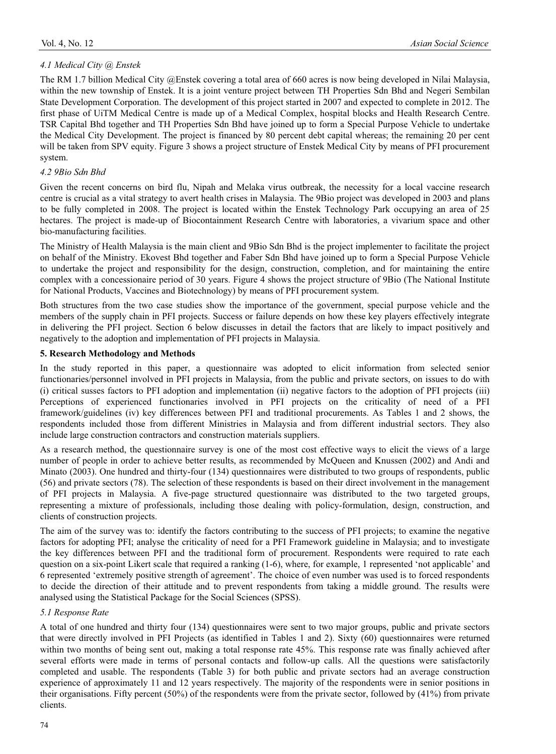#### *4.1 Medical City @ Enstek*

The RM 1.7 billion Medical City @Enstek covering a total area of 660 acres is now being developed in Nilai Malaysia, within the new township of Enstek. It is a joint venture project between TH Properties Sdn Bhd and Negeri Sembilan State Development Corporation. The development of this project started in 2007 and expected to complete in 2012. The first phase of UiTM Medical Centre is made up of a Medical Complex, hospital blocks and Health Research Centre. TSR Capital Bhd together and TH Properties Sdn Bhd have joined up to form a Special Purpose Vehicle to undertake the Medical City Development. The project is financed by 80 percent debt capital whereas; the remaining 20 per cent will be taken from SPV equity. Figure 3 shows a project structure of Enstek Medical City by means of PFI procurement system.

#### *4.2 9Bio Sdn Bhd*

Given the recent concerns on bird flu, Nipah and Melaka virus outbreak, the necessity for a local vaccine research centre is crucial as a vital strategy to avert health crises in Malaysia. The 9Bio project was developed in 2003 and plans to be fully completed in 2008. The project is located within the Enstek Technology Park occupying an area of 25 hectares. The project is made-up of Biocontainment Research Centre with laboratories, a vivarium space and other bio-manufacturing facilities.

The Ministry of Health Malaysia is the main client and 9Bio Sdn Bhd is the project implementer to facilitate the project on behalf of the Ministry. Ekovest Bhd together and Faber Sdn Bhd have joined up to form a Special Purpose Vehicle to undertake the project and responsibility for the design, construction, completion, and for maintaining the entire complex with a concessionaire period of 30 years. Figure 4 shows the project structure of 9Bio (The National Institute for National Products, Vaccines and Biotechnology) by means of PFI procurement system.

Both structures from the two case studies show the importance of the government, special purpose vehicle and the members of the supply chain in PFI projects. Success or failure depends on how these key players effectively integrate in delivering the PFI project. Section 6 below discusses in detail the factors that are likely to impact positively and negatively to the adoption and implementation of PFI projects in Malaysia.

#### **5. Research Methodology and Methods**

In the study reported in this paper, a questionnaire was adopted to elicit information from selected senior functionaries/personnel involved in PFI projects in Malaysia, from the public and private sectors, on issues to do with (i) critical susses factors to PFI adoption and implementation (ii) negative factors to the adoption of PFI projects (iii) Perceptions of experienced functionaries involved in PFI projects on the criticality of need of a PFI framework/guidelines (iv) key differences between PFI and traditional procurements. As Tables 1 and 2 shows, the respondents included those from different Ministries in Malaysia and from different industrial sectors. They also include large construction contractors and construction materials suppliers.

As a research method, the questionnaire survey is one of the most cost effective ways to elicit the views of a large number of people in order to achieve better results, as recommended by McQueen and Knussen (2002) and Andi and Minato (2003). One hundred and thirty-four (134) questionnaires were distributed to two groups of respondents, public (56) and private sectors (78). The selection of these respondents is based on their direct involvement in the management of PFI projects in Malaysia. A five-page structured questionnaire was distributed to the two targeted groups, representing a mixture of professionals, including those dealing with policy-formulation, design, construction, and clients of construction projects.

The aim of the survey was to: identify the factors contributing to the success of PFI projects; to examine the negative factors for adopting PFI; analyse the criticality of need for a PFI Framework guideline in Malaysia; and to investigate the key differences between PFI and the traditional form of procurement. Respondents were required to rate each question on a six-point Likert scale that required a ranking (1-6), where, for example, 1 represented 'not applicable' and 6 represented 'extremely positive strength of agreement'. The choice of even number was used is to forced respondents to decide the direction of their attitude and to prevent respondents from taking a middle ground. The results were analysed using the Statistical Package for the Social Sciences (SPSS).

#### *5.1 Response Rate*

A total of one hundred and thirty four (134) questionnaires were sent to two major groups, public and private sectors that were directly involved in PFI Projects (as identified in Tables 1 and 2). Sixty (60) questionnaires were returned within two months of being sent out, making a total response rate 45%. This response rate was finally achieved after several efforts were made in terms of personal contacts and follow-up calls. All the questions were satisfactorily completed and usable. The respondents (Table 3) for both public and private sectors had an average construction experience of approximately 11 and 12 years respectively. The majority of the respondents were in senior positions in their organisations. Fifty percent (50%) of the respondents were from the private sector, followed by (41%) from private clients.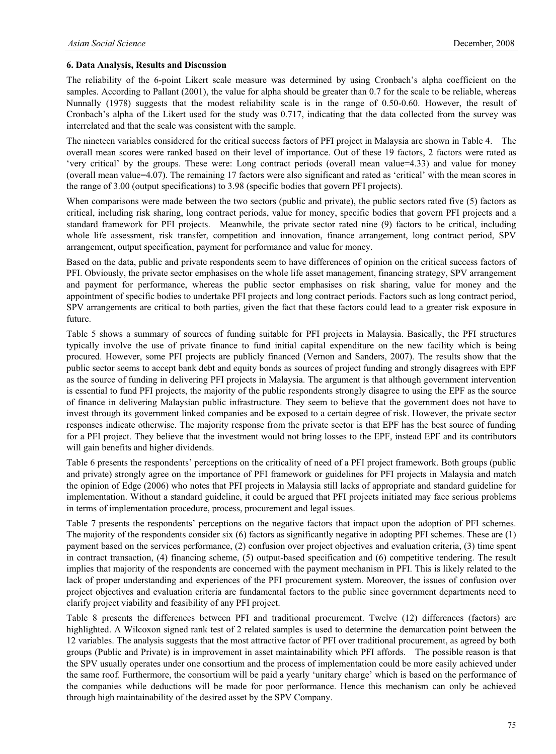#### **6. Data Analysis, Results and Discussion**

The reliability of the 6-point Likert scale measure was determined by using Cronbach's alpha coefficient on the samples. According to Pallant (2001), the value for alpha should be greater than 0.7 for the scale to be reliable, whereas Nunnally (1978) suggests that the modest reliability scale is in the range of 0.50-0.60. However, the result of Cronbach's alpha of the Likert used for the study was 0.717, indicating that the data collected from the survey was interrelated and that the scale was consistent with the sample.

The nineteen variables considered for the critical success factors of PFI project in Malaysia are shown in Table 4. The overall mean scores were ranked based on their level of importance. Out of these 19 factors, 2 factors were rated as 'very critical' by the groups. These were: Long contract periods (overall mean value=4.33) and value for money (overall mean value=4.07). The remaining 17 factors were also significant and rated as 'critical' with the mean scores in the range of 3.00 (output specifications) to 3.98 (specific bodies that govern PFI projects).

When comparisons were made between the two sectors (public and private), the public sectors rated five (5) factors as critical, including risk sharing, long contract periods, value for money, specific bodies that govern PFI projects and a standard framework for PFI projects. Meanwhile, the private sector rated nine (9) factors to be critical, including whole life assessment, risk transfer, competition and innovation, finance arrangement, long contract period, SPV arrangement, output specification, payment for performance and value for money.

Based on the data, public and private respondents seem to have differences of opinion on the critical success factors of PFI. Obviously, the private sector emphasises on the whole life asset management, financing strategy, SPV arrangement and payment for performance, whereas the public sector emphasises on risk sharing, value for money and the appointment of specific bodies to undertake PFI projects and long contract periods. Factors such as long contract period, SPV arrangements are critical to both parties, given the fact that these factors could lead to a greater risk exposure in future.

Table 5 shows a summary of sources of funding suitable for PFI projects in Malaysia. Basically, the PFI structures typically involve the use of private finance to fund initial capital expenditure on the new facility which is being procured. However, some PFI projects are publicly financed (Vernon and Sanders, 2007). The results show that the public sector seems to accept bank debt and equity bonds as sources of project funding and strongly disagrees with EPF as the source of funding in delivering PFI projects in Malaysia. The argument is that although government intervention is essential to fund PFI projects, the majority of the public respondents strongly disagree to using the EPF as the source of finance in delivering Malaysian public infrastructure. They seem to believe that the government does not have to invest through its government linked companies and be exposed to a certain degree of risk. However, the private sector responses indicate otherwise. The majority response from the private sector is that EPF has the best source of funding for a PFI project. They believe that the investment would not bring losses to the EPF, instead EPF and its contributors will gain benefits and higher dividends.

Table 6 presents the respondents' perceptions on the criticality of need of a PFI project framework. Both groups (public and private) strongly agree on the importance of PFI framework or guidelines for PFI projects in Malaysia and match the opinion of Edge (2006) who notes that PFI projects in Malaysia still lacks of appropriate and standard guideline for implementation. Without a standard guideline, it could be argued that PFI projects initiated may face serious problems in terms of implementation procedure, process, procurement and legal issues.

Table 7 presents the respondents' perceptions on the negative factors that impact upon the adoption of PFI schemes. The majority of the respondents consider six (6) factors as significantly negative in adopting PFI schemes. These are (1) payment based on the services performance, (2) confusion over project objectives and evaluation criteria, (3) time spent in contract transaction, (4) financing scheme, (5) output-based specification and (6) competitive tendering. The result implies that majority of the respondents are concerned with the payment mechanism in PFI. This is likely related to the lack of proper understanding and experiences of the PFI procurement system. Moreover, the issues of confusion over project objectives and evaluation criteria are fundamental factors to the public since government departments need to clarify project viability and feasibility of any PFI project.

Table 8 presents the differences between PFI and traditional procurement. Twelve (12) differences (factors) are highlighted. A Wilcoxon signed rank test of 2 related samples is used to determine the demarcation point between the 12 variables. The analysis suggests that the most attractive factor of PFI over traditional procurement, as agreed by both groups (Public and Private) is in improvement in asset maintainability which PFI affords. The possible reason is that the SPV usually operates under one consortium and the process of implementation could be more easily achieved under the same roof. Furthermore, the consortium will be paid a yearly 'unitary charge' which is based on the performance of the companies while deductions will be made for poor performance. Hence this mechanism can only be achieved through high maintainability of the desired asset by the SPV Company.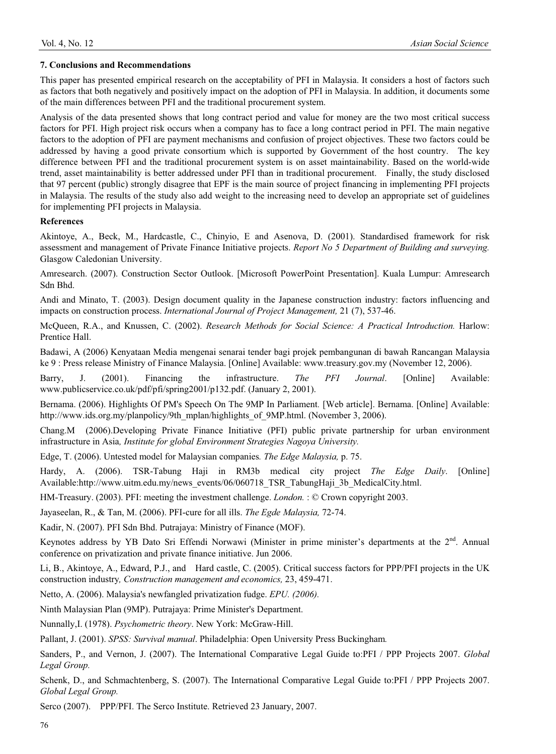#### **7. Conclusions and Recommendations**

This paper has presented empirical research on the acceptability of PFI in Malaysia. It considers a host of factors such as factors that both negatively and positively impact on the adoption of PFI in Malaysia. In addition, it documents some of the main differences between PFI and the traditional procurement system.

Analysis of the data presented shows that long contract period and value for money are the two most critical success factors for PFI. High project risk occurs when a company has to face a long contract period in PFI. The main negative factors to the adoption of PFI are payment mechanisms and confusion of project objectives. These two factors could be addressed by having a good private consortium which is supported by Government of the host country. The key difference between PFI and the traditional procurement system is on asset maintainability. Based on the world-wide trend, asset maintainability is better addressed under PFI than in traditional procurement. Finally, the study disclosed that 97 percent (public) strongly disagree that EPF is the main source of project financing in implementing PFI projects in Malaysia. The results of the study also add weight to the increasing need to develop an appropriate set of guidelines for implementing PFI projects in Malaysia.

#### **References**

Akintoye, A., Beck, M., Hardcastle, C., Chinyio, E and Asenova, D. (2001). Standardised framework for risk assessment and management of Private Finance Initiative projects. *Report No 5 Department of Building and surveying.*  Glasgow Caledonian University.

Amresearch. (2007). Construction Sector Outlook. [Microsoft PowerPoint Presentation]. Kuala Lumpur: Amresearch Sdn Bhd.

Andi and Minato, T. (2003). Design document quality in the Japanese construction industry: factors influencing and impacts on construction process. *International Journal of Project Management,* 21 (7), 537-46.

McQueen, R.A., and Knussen, C. (2002). *Research Methods for Social Science: A Practical Introduction.* Harlow: Prentice Hall.

Badawi, A (2006) Kenyataan Media mengenai senarai tender bagi projek pembangunan di bawah Rancangan Malaysia ke 9 : Press release Ministry of Finance Malaysia. [Online] Available: www.treasury.gov.my (November 12, 2006).

Barry, J. (2001). Financing the infrastructure. *The PFI Journal*. [Online] Available: www.publicservice.co.uk/pdf/pfi/spring2001/p132.pdf. (January 2, 2001).

Bernama. (2006). Highlights Of PM's Speech On The 9MP In Parliament*.* [Web article]. Bernama. [Online] Available: http://www.ids.org.my/planpolicy/9th\_mplan/highlights\_of\_9MP.html. (November 3, 2006).

Chang.M (2006).Developing Private Finance Initiative (PFI) public private partnership for urban environment infrastructure in Asia*, Institute for global Environment Strategies Nagoya University.* 

Edge, T. (2006). Untested model for Malaysian companies*. The Edge Malaysia,* p. 75.

Hardy, A. (2006). TSR-Tabung Haji in RM3b medical city project *The Edge Daily*. [Online] Available:http://www.uitm.edu.my/news\_events/06/060718\_TSR\_TabungHaji\_3b\_MedicalCity.html.

HM-Treasury. (2003). PFI: meeting the investment challenge. *London.* : © Crown copyright 2003.

Jayaseelan, R., & Tan, M. (2006). PFI-cure for all ills. *The Egde Malaysia,* 72-74.

Kadir, N. (2007). PFI Sdn Bhd. Putrajaya: Ministry of Finance (MOF).

Keynotes address by YB Dato Sri Effendi Norwawi (Minister in prime minister's departments at the  $2<sup>nd</sup>$ . Annual conference on privatization and private finance initiative. Jun 2006.

Li, B., Akintoye, A., Edward, P.J., and Hard castle, C. (2005). Critical success factors for PPP/PFI projects in the UK construction industry*, Construction management and economics,* 23, 459-471.

Netto, A. (2006). Malaysia's newfangled privatization fudge. *EPU. (2006).*

Ninth Malaysian Plan (9MP). Putrajaya: Prime Minister's Department.

Nunnally,I. (1978). *Psychometric theory*. New York: McGraw-Hill.

Pallant, J. (2001). *SPSS: Survival manual*. Philadelphia: Open University Press Buckingham*.*

Sanders, P., and Vernon, J. (2007). The International Comparative Legal Guide to:PFI / PPP Projects 2007. *Global Legal Group.* 

Schenk, D., and Schmachtenberg, S. (2007). The International Comparative Legal Guide to:PFI / PPP Projects 2007. *Global Legal Group.*

Serco (2007). PPP/PFI. The Serco Institute. Retrieved 23 January, 2007.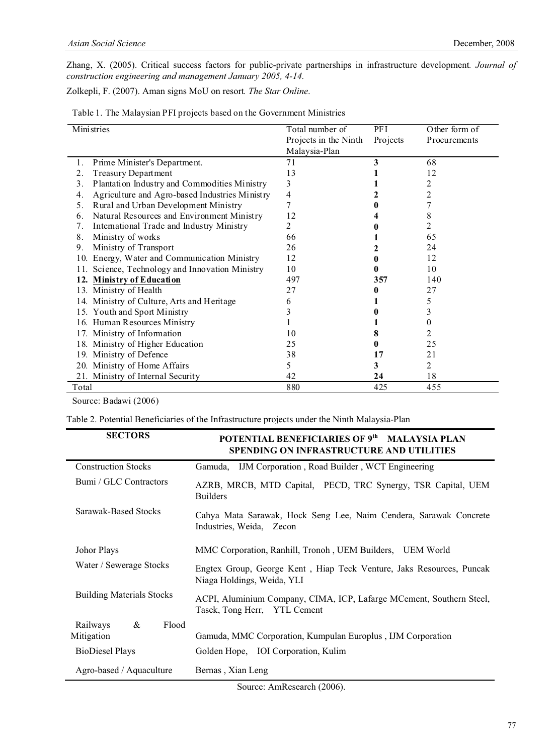Zhang, X. (2005). Critical success factors for public-private partnerships in infrastructure development*. Journal of construction engineering and management January 2005, 4-14.* 

Zolkepli, F. (2007). Aman signs MoU on resort*. The Star Online*.

| <b>Ministries</b> |                                                | Total number of       | PFI      | Other form of |
|-------------------|------------------------------------------------|-----------------------|----------|---------------|
|                   |                                                | Projects in the Ninth | Projects | Procurements  |
|                   |                                                | Malaysia-Plan         |          |               |
| 1.                | Prime Minister's Department.                   | 71                    | 3        | 68            |
| 2.                | <b>Treasury Department</b>                     | 13                    |          | 12            |
| 3.                | Plantation Industry and Commodities Ministry   | 3                     |          | 2             |
| 4.                | Agriculture and Agro-based Industries Ministry | 4                     |          | 2             |
| 5.                | Rural and Urban Development Ministry           | 7                     |          |               |
| 6.                | Natural Resources and Environment Ministry     | 12                    |          | 8             |
| 7.                | International Trade and Industry Ministry      | 2                     |          | 2             |
| 8.                | Ministry of works                              | 66                    |          | 65            |
| 9.                | Ministry of Transport                          | 26                    |          | 24            |
| 10.               | Energy, Water and Communication Ministry       | 12                    |          | 12            |
| 11.               | Science, Technology and Innovation Ministry    | 10                    |          | 10            |
| 12.               | <b>Ministry of Education</b>                   | 497                   | 357      | 140           |
| 13.               | Ministry of Health                             | 27                    | 0        | 27            |
|                   | 14. Ministry of Culture, Arts and Heritage     | 6                     |          | 5             |
|                   | 15. Youth and Sport Ministry                   | 3                     |          | 3             |
|                   | 16. Human Resources Ministry                   |                       |          | $\Omega$      |
|                   | 17. Ministry of Information                    | 10                    | x        | 2             |
| 18.               | Ministry of Higher Education                   | 25                    | 0        | 25            |
| 19.               | Ministry of Defence                            | 38                    | 17       | 21            |
|                   | 20. Ministry of Home Affairs                   | 5                     | 3        | 2             |
|                   | 21. Ministry of Internal Security              | 42                    | 24       | 18            |
| Total             |                                                | 880                   | 425      | 455           |

Table 1. The Malaysian PFI projects based on the Government Ministries

Source: Badawi (2006)

Ĭ.

Ĭ.

Table 2. Potential Beneficiaries of the Infrastructure projects under the Ninth Malaysia-Plan

| <b>SECTORS</b>                   | POTENTIAL BENEFICIARIES OF 9th MALAYSIA PLAN<br><b>SPENDING ON INFRASTRUCTURE AND UTILITIES</b>      |  |  |  |
|----------------------------------|------------------------------------------------------------------------------------------------------|--|--|--|
| <b>Construction Stocks</b>       | Gamuda, IJM Corporation, Road Builder, WCT Engineering                                               |  |  |  |
| Bumi / GLC Contractors           | AZRB, MRCB, MTD Capital, PECD, TRC Synergy, TSR Capital, UEM<br><b>Builders</b>                      |  |  |  |
| Sarawak-Based Stocks             | Cahya Mata Sarawak, Hock Seng Lee, Naim Cendera, Sarawak Concrete<br>Industries, Weida, Zecon        |  |  |  |
| Johor Plays                      | MMC Corporation, Ranhill, Tronoh, UEM Builders, UEM World                                            |  |  |  |
| Water / Sewerage Stocks          | Engtex Group, George Kent, Hiap Teck Venture, Jaks Resources, Puncak<br>Niaga Holdings, Weida, YLI   |  |  |  |
| <b>Building Materials Stocks</b> | ACPI, Aluminium Company, CIMA, ICP, Lafarge MCement, Southern Steel,<br>Tasek, Tong Herr, YTL Cement |  |  |  |
| Railways<br>$\&$<br>Flood        |                                                                                                      |  |  |  |
| Mitigation                       | Gamuda, MMC Corporation, Kumpulan Europlus, IJM Corporation                                          |  |  |  |
| <b>BioDiesel Plays</b>           | Golden Hope, IOI Corporation, Kulim                                                                  |  |  |  |
| Agro-based / Aquaculture         | Bernas, Xian Leng                                                                                    |  |  |  |

Source: AmResearch (2006).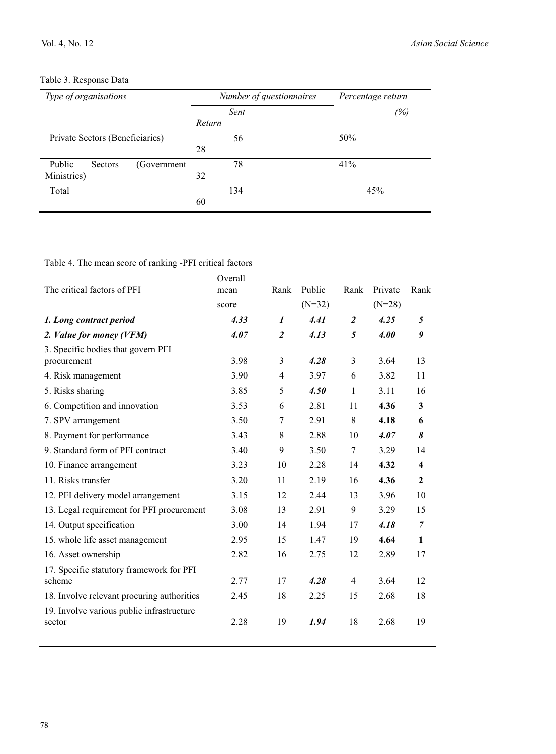# Table 3. Response Data

| Type of organisations             | Number of questionnaires | Percentage return |
|-----------------------------------|--------------------------|-------------------|
|                                   | Sent                     | (%)               |
|                                   | Return                   |                   |
| Private Sectors (Beneficiaries)   | 56                       | 50%               |
|                                   | 28                       |                   |
| Public<br>Sectors<br>(Government) | 78                       | 41%               |
| Ministries)                       | 32                       |                   |
| Total                             | 134                      | 45%               |
|                                   | 60                       |                   |

|  |  | Table 4. The mean score of ranking -PFI critical factors |  |  |  |
|--|--|----------------------------------------------------------|--|--|--|
|--|--|----------------------------------------------------------|--|--|--|

| The critical factors of PFI                | Overall<br>mean | Rank                       | Public   | Rank           | Private  | Rank                    |
|--------------------------------------------|-----------------|----------------------------|----------|----------------|----------|-------------------------|
|                                            | score           |                            | $(N=32)$ |                | $(N=28)$ |                         |
| 1. Long contract period                    | 4.33            | $\boldsymbol{\mathcal{I}}$ | 4.41     | 2              | 4.25     | 5                       |
| 2. Value for money (VFM)                   | 4.07            | $\overline{2}$             | 4.13     | 5              | 4.00     | 9                       |
| 3. Specific bodies that govern PFI         |                 |                            |          |                |          |                         |
| procurement                                | 3.98            | 3                          | 4.28     | 3              | 3.64     | 13                      |
| 4. Risk management                         | 3.90            | 4                          | 3.97     | 6              | 3.82     | 11                      |
| 5. Risks sharing                           | 3.85            | 5                          | 4.50     | $\mathbf{1}$   | 3.11     | 16                      |
| 6. Competition and innovation              | 3.53            | 6                          | 2.81     | 11             | 4.36     | 3                       |
| 7. SPV arrangement                         | 3.50            | 7                          | 2.91     | 8              | 4.18     | 6                       |
| 8. Payment for performance                 | 3.43            | 8                          | 2.88     | 10             | 4.07     | 8                       |
| 9. Standard form of PFI contract           | 3.40            | 9                          | 3.50     | 7              | 3.29     | 14                      |
| 10. Finance arrangement                    | 3.23            | 10                         | 2.28     | 14             | 4.32     | $\overline{\mathbf{4}}$ |
| 11. Risks transfer                         | 3.20            | 11                         | 2.19     | 16             | 4.36     | $\mathbf{2}$            |
| 12. PFI delivery model arrangement         | 3.15            | 12                         | 2.44     | 13             | 3.96     | 10                      |
| 13. Legal requirement for PFI procurement  | 3.08            | 13                         | 2.91     | 9              | 3.29     | 15                      |
| 14. Output specification                   | 3.00            | 14                         | 1.94     | 17             | 4.18     | $\overline{7}$          |
| 15. whole life asset management            | 2.95            | 15                         | 1.47     | 19             | 4.64     | $\mathbf{1}$            |
| 16. Asset ownership                        | 2.82            | 16                         | 2.75     | 12             | 2.89     | 17                      |
| 17. Specific statutory framework for PFI   |                 |                            |          |                |          |                         |
| scheme                                     | 2.77            | 17                         | 4.28     | $\overline{4}$ | 3.64     | 12                      |
| 18. Involve relevant procuring authorities | 2.45            | 18                         | 2.25     | 15             | 2.68     | 18                      |
| 19. Involve various public infrastructure  |                 |                            |          |                |          |                         |
| sector                                     | 2.28            | 19                         | 1.94     | 18             | 2.68     | 19                      |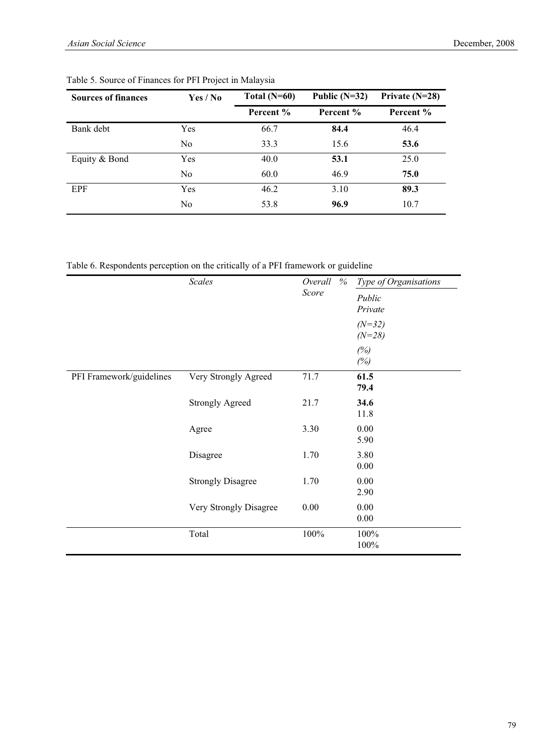| <b>Sources of finances</b> | Yes / No       | Total $(N=60)$ | Public $(N=32)$ | Private $(N=28)$ |
|----------------------------|----------------|----------------|-----------------|------------------|
|                            |                | Percent %      | Percent %       | Percent %        |
| Bank debt                  | Yes            | 66.7           | 84.4            | 46.4             |
|                            | N <sub>0</sub> | 33.3           | 15.6            | 53.6             |
| Equity & Bond              | Yes            | 40.0           | 53.1            | 25.0             |
|                            | N <sub>0</sub> | 60.0           | 46.9            | 75.0             |
| EPF                        | Yes            | 46.2           | 3.10            | 89.3             |
|                            | N <sub>0</sub> | 53.8           | 96.9            | 10.7             |

# Table 5. Source of Finances for PFI Project in Malaysia

Table 6. Respondents perception on the critically of a PFI framework or guideline

|                          | <b>Scales</b>            | Overall<br>% | Type of Organisations |
|--------------------------|--------------------------|--------------|-----------------------|
|                          |                          | Score        | Public<br>Private     |
|                          |                          |              | $(N=32)$<br>$(N=28)$  |
|                          |                          |              | (%)<br>(%)            |
| PFI Framework/guidelines | Very Strongly Agreed     | 71.7         | 61.5<br>79.4          |
|                          | <b>Strongly Agreed</b>   | 21.7         | 34.6<br>11.8          |
|                          | Agree                    | 3.30         | 0.00<br>5.90          |
|                          | Disagree                 | 1.70         | 3.80<br>0.00          |
|                          | <b>Strongly Disagree</b> | 1.70         | $0.00\,$<br>2.90      |
|                          | Very Strongly Disagree   | 0.00         | 0.00<br>0.00          |
|                          | Total                    | 100%         | 100%<br>100%          |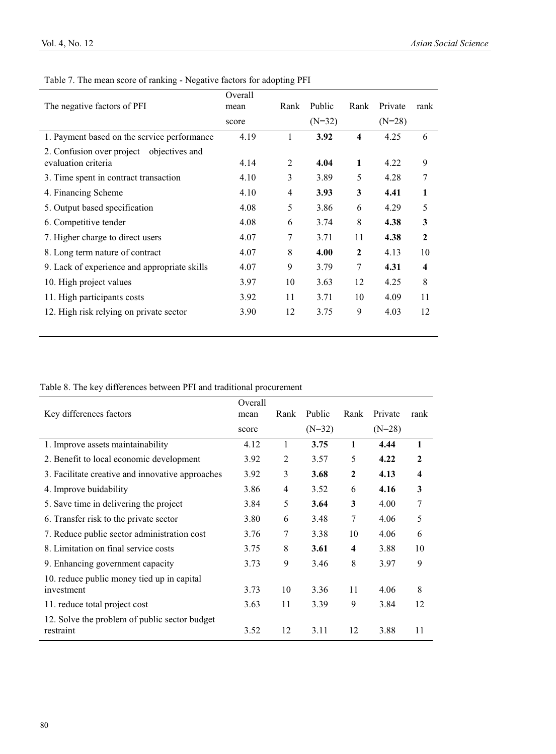| The negative factors of PFI                                     | Overall<br>mean | Rank | Public   | Rank                    | Private  | rank         |
|-----------------------------------------------------------------|-----------------|------|----------|-------------------------|----------|--------------|
|                                                                 | score           |      | $(N=32)$ |                         | $(N=28)$ |              |
| 1. Payment based on the service performance                     | 4.19            | 1    | 3.92     | $\overline{\mathbf{4}}$ | 4.25     | 6            |
| 2. Confusion over project objectives and<br>evaluation criteria | 4.14            | 2    | 4.04     | 1                       | 4.22     | 9            |
| 3. Time spent in contract transaction                           | 4.10            | 3    | 3.89     | 5                       | 4.28     | 7            |
| 4. Financing Scheme                                             | 4.10            | 4    | 3.93     | 3                       | 4.41     | 1            |
| 5. Output based specification                                   | 4.08            | 5    | 3.86     | 6                       | 4.29     | 5            |
| 6. Competitive tender                                           | 4.08            | 6    | 3.74     | 8                       | 4.38     | 3            |
| 7. Higher charge to direct users                                | 4.07            | 7    | 3.71     | 11                      | 4.38     | $\mathbf{2}$ |
| 8. Long term nature of contract                                 | 4.07            | 8    | 4.00     | $\mathbf{2}$            | 4.13     | 10           |
| 9. Lack of experience and appropriate skills                    | 4.07            | 9    | 3.79     | 7                       | 4.31     | 4            |
| 10. High project values                                         | 3.97            | 10   | 3.63     | 12                      | 4.25     | 8            |
| 11. High participants costs                                     | 3.92            | 11   | 3.71     | 10                      | 4.09     | 11           |
| 12. High risk relying on private sector                         | 3.90            | 12   | 3.75     | 9                       | 4.03     | 12           |

# Table 7. The mean score of ranking - Negative factors for adopting PFI

Table 8. The key differences between PFI and traditional procurement

| Key differences factors                                    | Overall<br>mean | Rank   | Public   | Rank         | Private  | rank                    |
|------------------------------------------------------------|-----------------|--------|----------|--------------|----------|-------------------------|
|                                                            | score           |        | $(N=32)$ |              | $(N=28)$ |                         |
| 1. Improve assets maintainability                          | 4.12            | 1      | 3.75     | 1            | 4.44     | 1                       |
| 2. Benefit to local economic development                   | 3.92            | 2      | 3.57     | 5            | 4.22     | $\mathbf{2}$            |
| 3. Facilitate creative and innovative approaches           | 3.92            | 3      | 3.68     | $\mathbf{2}$ | 4.13     | $\overline{\mathbf{4}}$ |
| 4. Improve buidability                                     | 3.86            | 4      | 3.52     | 6            | 4.16     | 3                       |
| 5. Save time in delivering the project                     | 3.84            | 5      | 3.64     | 3            | 4.00     | 7                       |
| 6. Transfer risk to the private sector                     | 3.80            | 6      | 3.48     | 7            | 4.06     | 5                       |
| 7. Reduce public sector administration cost                | 3.76            | $\tau$ | 3.38     | 10           | 4.06     | 6                       |
| 8. Limitation on final service costs                       | 3.75            | 8      | 3.61     | 4            | 3.88     | 10                      |
| 9. Enhancing government capacity                           | 3.73            | 9      | 3.46     | 8            | 3.97     | 9                       |
| 10. reduce public money tied up in capital<br>investment   | 3.73            | 10     | 3.36     | 11           | 4.06     | 8                       |
| 11. reduce total project cost                              | 3.63            | 11     | 3.39     | 9            | 3.84     | 12                      |
| 12. Solve the problem of public sector budget<br>restraint | 3.52            | 12     | 3.11     | 12           | 3.88     | 11                      |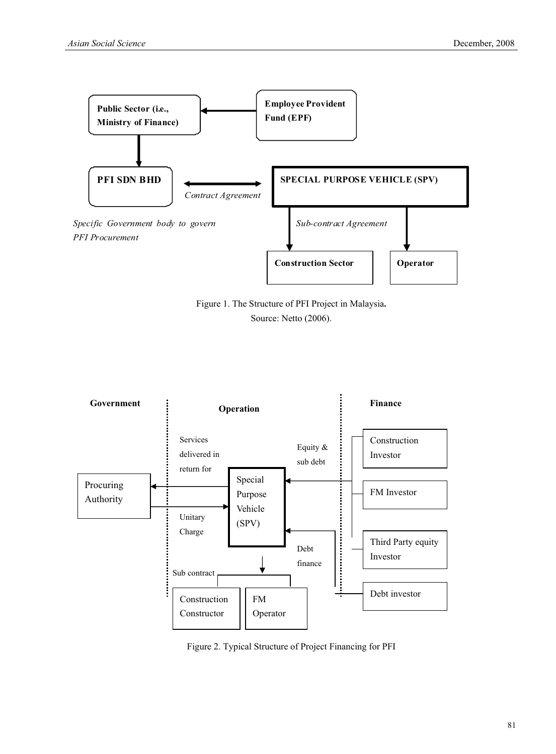



Source: Netto (2006).



Figure 2. Typical Structure of Project Financing for PFI